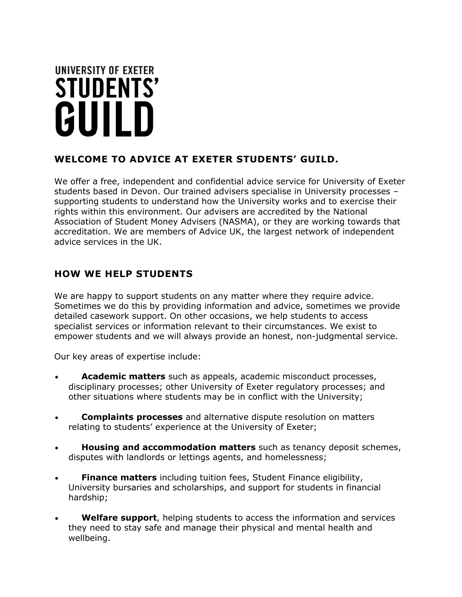# UNIVERSITY OF EXETER **STUDENTS'** GUILD

# **WELCOME TO ADVICE AT EXETER STUDENTS' GUILD.**

We offer a free, independent and confidential advice service for University of Exeter students based in Devon. Our trained advisers specialise in University processes – supporting students to understand how the University works and to exercise their rights within this environment. Our advisers are accredited by the National Association of Student Money Advisers (NASMA), or they are working towards that accreditation. We are members of Advice UK, the largest network of independent advice services in the UK.

# **HOW WE HELP STUDENTS**

We are happy to support students on any matter where they require advice. Sometimes we do this by providing information and advice, sometimes we provide detailed casework support. On other occasions, we help students to access specialist services or information relevant to their circumstances. We exist to empower students and we will always provide an honest, non-judgmental service.

Our key areas of expertise include:

- **Academic matters** such as appeals, academic misconduct processes, disciplinary processes; other University of Exeter regulatory processes; and other situations where students may be in conflict with the University;
- **Complaints processes** and alternative dispute resolution on matters relating to students' experience at the University of Exeter;
- **Housing and accommodation matters** such as tenancy deposit schemes, disputes with landlords or lettings agents, and homelessness;
- **Finance matters** including tuition fees, Student Finance eligibility, University bursaries and scholarships, and support for students in financial hardship;
- **Welfare support**, helping students to access the information and services they need to stay safe and manage their physical and mental health and wellbeing.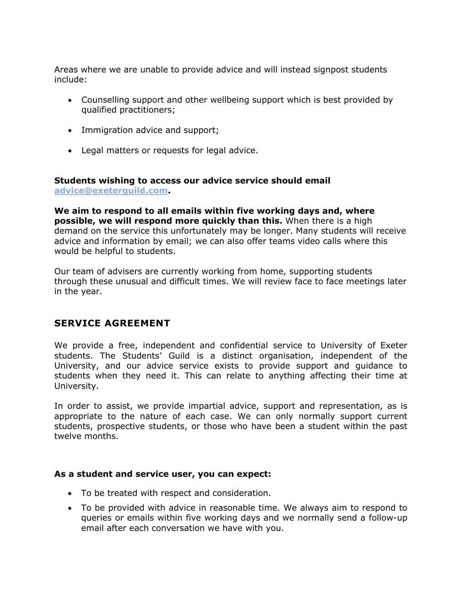Areas where we are unable to provide advice and will instead signpost students include:

- Counselling support and other wellbeing support which is best provided by qualified practitioners;
- Immigration advice and support;
- Legal matters or requests for legal advice.

#### **Students wishing to access our advice service should email [advice@exeterguild.com.](mailto:advice@exeterguild.com)**

**We aim to respond to all emails within five working days and, where possible, we will respond more quickly than this.** When there is a high demand on the service this unfortunately may be longer. Many students will receive advice and information by email; we can also offer teams video calls where this would be helpful to students.

Our team of advisers are currently working from home, supporting students through these unusual and difficult times. We will review face to face meetings later in the year.

## **SERVICE AGREEMENT**

We provide a free, independent and confidential service to University of Exeter students. The Students' Guild is a distinct organisation, independent of the University, and our advice service exists to provide support and guidance to students when they need it. This can relate to anything affecting their time at University.

In order to assist, we provide impartial advice, support and representation, as is appropriate to the nature of each case. We can only normally support current students, prospective students, or those who have been a student within the past twelve months.

#### **As a student and service user, you can expect:**

- To be treated with respect and consideration.
- To be provided with advice in reasonable time. We always aim to respond to queries or emails within five working days and we normally send a follow-up email after each conversation we have with you.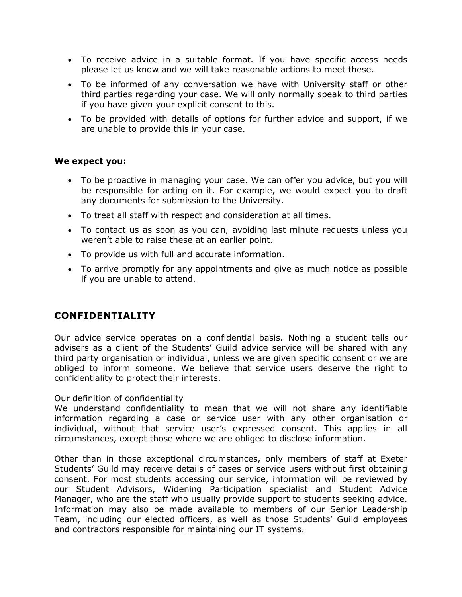- To receive advice in a suitable format. If you have specific access needs please let us know and we will take reasonable actions to meet these.
- To be informed of any conversation we have with University staff or other third parties regarding your case. We will only normally speak to third parties if you have given your explicit consent to this.
- To be provided with details of options for further advice and support, if we are unable to provide this in your case.

#### **We expect you:**

- To be proactive in managing your case. We can offer you advice, but you will be responsible for acting on it. For example, we would expect you to draft any documents for submission to the University.
- To treat all staff with respect and consideration at all times.
- To contact us as soon as you can, avoiding last minute requests unless you weren't able to raise these at an earlier point.
- To provide us with full and accurate information.
- To arrive promptly for any appointments and give as much notice as possible if you are unable to attend.

## **CONFIDENTIALITY**

Our advice service operates on a confidential basis. Nothing a student tells our advisers as a client of the Students' Guild advice service will be shared with any third party organisation or individual, unless we are given specific consent or we are obliged to inform someone. We believe that service users deserve the right to confidentiality to protect their interests.

#### Our definition of confidentiality

We understand confidentiality to mean that we will not share any identifiable information regarding a case or service user with any other organisation or individual, without that service user's expressed consent. This applies in all circumstances, except those where we are obliged to disclose information.

Other than in those exceptional circumstances, only members of staff at Exeter Students' Guild may receive details of cases or service users without first obtaining consent. For most students accessing our service, information will be reviewed by our Student Advisors, Widening Participation specialist and Student Advice Manager, who are the staff who usually provide support to students seeking advice. Information may also be made available to members of our Senior Leadership Team, including our elected officers, as well as those Students' Guild employees and contractors responsible for maintaining our IT systems.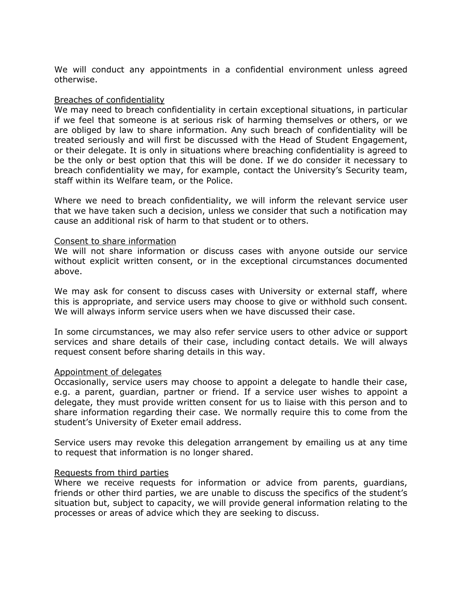We will conduct any appointments in a confidential environment unless agreed otherwise.

#### Breaches of confidentiality

We may need to breach confidentiality in certain exceptional situations, in particular if we feel that someone is at serious risk of harming themselves or others, or we are obliged by law to share information. Any such breach of confidentiality will be treated seriously and will first be discussed with the Head of Student Engagement, or their delegate. It is only in situations where breaching confidentiality is agreed to be the only or best option that this will be done. If we do consider it necessary to breach confidentiality we may, for example, contact the University's Security team, staff within its Welfare team, or the Police.

Where we need to breach confidentiality, we will inform the relevant service user that we have taken such a decision, unless we consider that such a notification may cause an additional risk of harm to that student or to others.

#### Consent to share information

We will not share information or discuss cases with anyone outside our service without explicit written consent, or in the exceptional circumstances documented above.

We may ask for consent to discuss cases with University or external staff, where this is appropriate, and service users may choose to give or withhold such consent. We will always inform service users when we have discussed their case.

In some circumstances, we may also refer service users to other advice or support services and share details of their case, including contact details. We will always request consent before sharing details in this way.

#### Appointment of delegates

Occasionally, service users may choose to appoint a delegate to handle their case, e.g. a parent, guardian, partner or friend. If a service user wishes to appoint a delegate, they must provide written consent for us to liaise with this person and to share information regarding their case. We normally require this to come from the student's University of Exeter email address.

Service users may revoke this delegation arrangement by emailing us at any time to request that information is no longer shared.

#### Requests from third parties

Where we receive requests for information or advice from parents, guardians, friends or other third parties, we are unable to discuss the specifics of the student's situation but, subject to capacity, we will provide general information relating to the processes or areas of advice which they are seeking to discuss.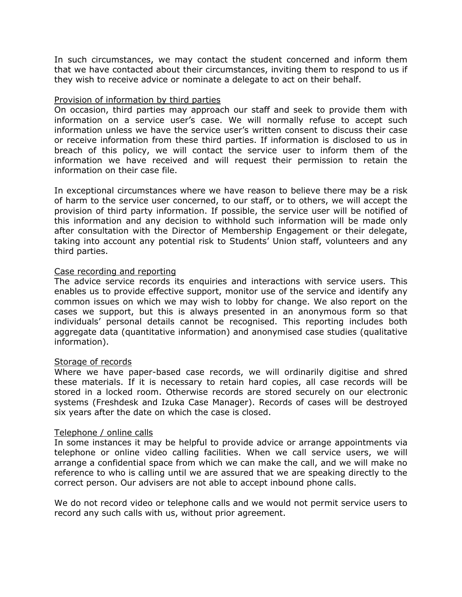In such circumstances, we may contact the student concerned and inform them that we have contacted about their circumstances, inviting them to respond to us if they wish to receive advice or nominate a delegate to act on their behalf.

#### Provision of information by third parties

On occasion, third parties may approach our staff and seek to provide them with information on a service user's case. We will normally refuse to accept such information unless we have the service user's written consent to discuss their case or receive information from these third parties. If information is disclosed to us in breach of this policy, we will contact the service user to inform them of the information we have received and will request their permission to retain the information on their case file.

In exceptional circumstances where we have reason to believe there may be a risk of harm to the service user concerned, to our staff, or to others, we will accept the provision of third party information. If possible, the service user will be notified of this information and any decision to withhold such information will be made only after consultation with the Director of Membership Engagement or their delegate, taking into account any potential risk to Students' Union staff, volunteers and any third parties.

#### Case recording and reporting

The advice service records its enquiries and interactions with service users. This enables us to provide effective support, monitor use of the service and identify any common issues on which we may wish to lobby for change. We also report on the cases we support, but this is always presented in an anonymous form so that individuals' personal details cannot be recognised. This reporting includes both aggregate data (quantitative information) and anonymised case studies (qualitative information).

#### Storage of records

Where we have paper-based case records, we will ordinarily digitise and shred these materials. If it is necessary to retain hard copies, all case records will be stored in a locked room. Otherwise records are stored securely on our electronic systems (Freshdesk and Izuka Case Manager). Records of cases will be destroyed six years after the date on which the case is closed.

#### Telephone / online calls

In some instances it may be helpful to provide advice or arrange appointments via telephone or online video calling facilities. When we call service users, we will arrange a confidential space from which we can make the call, and we will make no reference to who is calling until we are assured that we are speaking directly to the correct person. Our advisers are not able to accept inbound phone calls.

We do not record video or telephone calls and we would not permit service users to record any such calls with us, without prior agreement.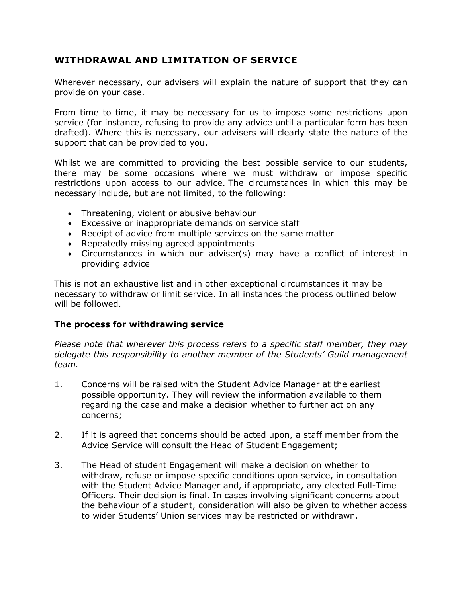## **WITHDRAWAL AND LIMITATION OF SERVICE**

Wherever necessary, our advisers will explain the nature of support that they can provide on your case.

From time to time, it may be necessary for us to impose some restrictions upon service (for instance, refusing to provide any advice until a particular form has been drafted). Where this is necessary, our advisers will clearly state the nature of the support that can be provided to you.

Whilst we are committed to providing the best possible service to our students, there may be some occasions where we must withdraw or impose specific restrictions upon access to our advice. The circumstances in which this may be necessary include, but are not limited, to the following:

- Threatening, violent or abusive behaviour
- Excessive or inappropriate demands on service staff
- Receipt of advice from multiple services on the same matter
- Repeatedly missing agreed appointments
- Circumstances in which our adviser(s) may have a conflict of interest in providing advice

This is not an exhaustive list and in other exceptional circumstances it may be necessary to withdraw or limit service. In all instances the process outlined below will be followed.

## **The process for withdrawing service**

*Please note that wherever this process refers to a specific staff member, they may delegate this responsibility to another member of the Students' Guild management team.*

- 1. Concerns will be raised with the Student Advice Manager at the earliest possible opportunity. They will review the information available to them regarding the case and make a decision whether to further act on any concerns;
- 2. If it is agreed that concerns should be acted upon, a staff member from the Advice Service will consult the Head of Student Engagement;
- 3. The Head of student Engagement will make a decision on whether to withdraw, refuse or impose specific conditions upon service, in consultation with the Student Advice Manager and, if appropriate, any elected Full-Time Officers. Their decision is final. In cases involving significant concerns about the behaviour of a student, consideration will also be given to whether access to wider Students' Union services may be restricted or withdrawn.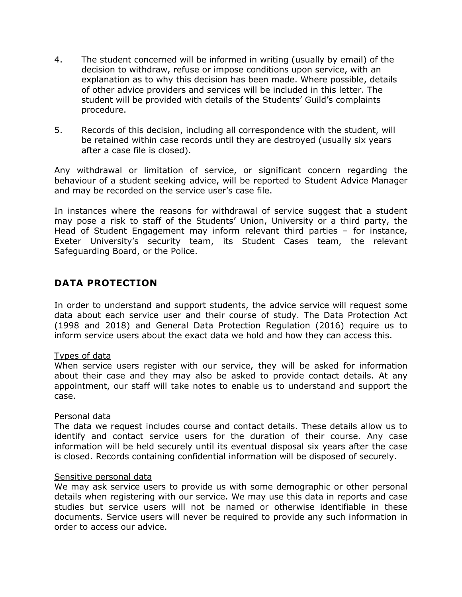- 4. The student concerned will be informed in writing (usually by email) of the decision to withdraw, refuse or impose conditions upon service, with an explanation as to why this decision has been made. Where possible, details of other advice providers and services will be included in this letter. The student will be provided with details of the Students' Guild's complaints procedure.
- 5. Records of this decision, including all correspondence with the student, will be retained within case records until they are destroyed (usually six years after a case file is closed).

Any withdrawal or limitation of service, or significant concern regarding the behaviour of a student seeking advice, will be reported to Student Advice Manager and may be recorded on the service user's case file.

In instances where the reasons for withdrawal of service suggest that a student may pose a risk to staff of the Students' Union, University or a third party, the Head of Student Engagement may inform relevant third parties – for instance, Exeter University's security team, its Student Cases team, the relevant Safeguarding Board, or the Police.

## **DATA PROTECTION**

In order to understand and support students, the advice service will request some data about each service user and their course of study. The Data Protection Act (1998 and 2018) and General Data Protection Regulation (2016) require us to inform service users about the exact data we hold and how they can access this.

## Types of data

When service users register with our service, they will be asked for information about their case and they may also be asked to provide contact details. At any appointment, our staff will take notes to enable us to understand and support the case.

#### Personal data

The data we request includes course and contact details. These details allow us to identify and contact service users for the duration of their course. Any case information will be held securely until its eventual disposal six years after the case is closed. Records containing confidential information will be disposed of securely.

#### Sensitive personal data

We may ask service users to provide us with some demographic or other personal details when registering with our service. We may use this data in reports and case studies but service users will not be named or otherwise identifiable in these documents. Service users will never be required to provide any such information in order to access our advice.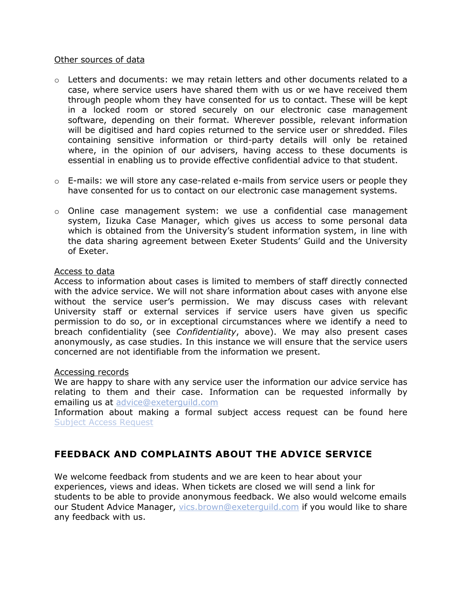#### Other sources of data

- $\circ$  Letters and documents: we may retain letters and other documents related to a case, where service users have shared them with us or we have received them through people whom they have consented for us to contact. These will be kept in a locked room or stored securely on our electronic case management software, depending on their format. Wherever possible, relevant information will be digitised and hard copies returned to the service user or shredded. Files containing sensitive information or third-party details will only be retained where, in the opinion of our advisers, having access to these documents is essential in enabling us to provide effective confidential advice to that student.
- $\circ$  E-mails: we will store any case-related e-mails from service users or people they have consented for us to contact on our electronic case management systems.
- o Online case management system: we use a confidential case management system, Iizuka Case Manager, which gives us access to some personal data which is obtained from the University's student information system, in line with the data sharing agreement between Exeter Students' Guild and the University of Exeter.

#### Access to data

Access to information about cases is limited to members of staff directly connected with the advice service. We will not share information about cases with anyone else without the service user's permission. We may discuss cases with relevant University staff or external services if service users have given us specific permission to do so, or in exceptional circumstances where we identify a need to breach confidentiality (see *Confidentiality*, above). We may also present cases anonymously, as case studies. In this instance we will ensure that the service users concerned are not identifiable from the information we present.

#### Accessing records

We are happy to share with any service user the information our advice service has relating to them and their case. Information can be requested informally by emailing us at [advice@exeterguild.com](mailto:advice@exeterguild.com)

Information about making a formal subject access request can be found here [Subject Access Request](https://www.exeterguild.org/dataprotection/access/)

## **FEEDBACK AND COMPLAINTS ABOUT THE ADVICE SERVICE**

We welcome feedback from students and we are keen to hear about your experiences, views and ideas. When tickets are closed we will send a link for students to be able to provide anonymous feedback. We also would welcome emails our Student Advice Manager, [vics.brown@exeterguild.com](mailto:vics.brown@exeterguild.com) if you would like to share any feedback with us.